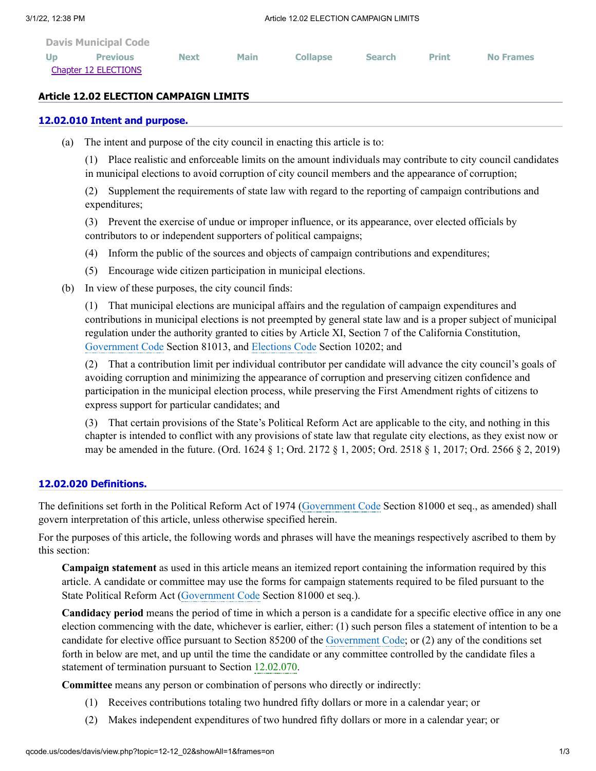| <b>Davis Municipal Code</b> |                 |             |             |                 |               |              |                  |
|-----------------------------|-----------------|-------------|-------------|-----------------|---------------|--------------|------------------|
| Up                          | <b>Previous</b> | <b>Next</b> | <b>Main</b> | <b>Collapse</b> | <b>Search</b> | <b>Print</b> | <b>No Frames</b> |
| Chapter 12 ELECTIONS        |                 |             |             |                 |               |              |                  |

### **Article 12.02 ELECTION CAMPAIGN LIMITS**

### **[12.02.010 Intent and purpose.](http://qcode.us/codes/davis/view.php?topic=12-12_02-12_02_010&frames=on)**

(a) The intent and purpose of the city council in enacting this article is to:

(1) Place realistic and enforceable limits on the amount individuals may contribute to city council candidates in municipal elections to avoid corruption of city council members and the appearance of corruption;

(2) Supplement the requirements of state law with regard to the reporting of campaign contributions and expenditures;

(3) Prevent the exercise of undue or improper influence, or its appearance, over elected officials by contributors to or independent supporters of political campaigns;

- (4) Inform the public of the sources and objects of campaign contributions and expenditures;
- (5) Encourage wide citizen participation in municipal elections.
- (b) In view of these purposes, the city council finds:

(1) That municipal elections are municipal affairs and the regulation of campaign expenditures and contributions in municipal elections is not preempted by general state law and is a proper subject of municipal regulation under the authority granted to cities by Article XI, Section 7 of the California Constitution, [Government](http://qcode.us/codes/othercode.php?state=ca&code=gov) Code Section 81013, and [Elections](http://qcode.us/codes/othercode.php?state=ca&code=ele) Code Section 10202; and

(2) That a contribution limit per individual contributor per candidate will advance the city council's goals of avoiding corruption and minimizing the appearance of corruption and preserving citizen confidence and participation in the municipal election process, while preserving the First Amendment rights of citizens to express support for particular candidates; and

(3) That certain provisions of the State's Political Reform Act are applicable to the city, and nothing in this chapter is intended to conflict with any provisions of state law that regulate city elections, as they exist now or may be amended in the future. (Ord. 1624 § 1; Ord. 2172 § 1, 2005; Ord. 2518 § 1, 2017; Ord. 2566 § 2, 2019)

# **[12.02.020 Definitions.](http://qcode.us/codes/davis/view.php?topic=12-12_02-12_02_020&frames=on)**

The definitions set forth in the Political Reform Act of 1974 [\(Government](http://qcode.us/codes/othercode.php?state=ca&code=gov) Code Section 81000 et seq., as amended) shall govern interpretation of this article, unless otherwise specified herein.

For the purposes of this article, the following words and phrases will have the meanings respectively ascribed to them by this section:

**Campaign statement** as used in this article means an itemized report containing the information required by this article. A candidate or committee may use the forms for campaign statements required to be filed pursuant to the State Political Reform Act [\(Government](http://qcode.us/codes/othercode.php?state=ca&code=gov) Code Section 81000 et seq.).

**Candidacy period** means the period of time in which a person is a candidate for a specific elective office in any one election commencing with the date, whichever is earlier, either: (1) such person files a statement of intention to be a candidate for elective office pursuant to Section 85200 of the [Government](http://qcode.us/codes/othercode.php?state=ca&code=gov) Code; or (2) any of the conditions set forth in below are met, and up until the time the candidate or any committee controlled by the candidate files a statement of termination pursuant to Section [12.02.070](http://qcode.us/codes/davis/view.php?cite=section_12.02.070&confidence=6).

**Committee** means any person or combination of persons who directly or indirectly:

- (1) Receives contributions totaling two hundred fifty dollars or more in a calendar year; or
- (2) Makes independent expenditures of two hundred fifty dollars or more in a calendar year; or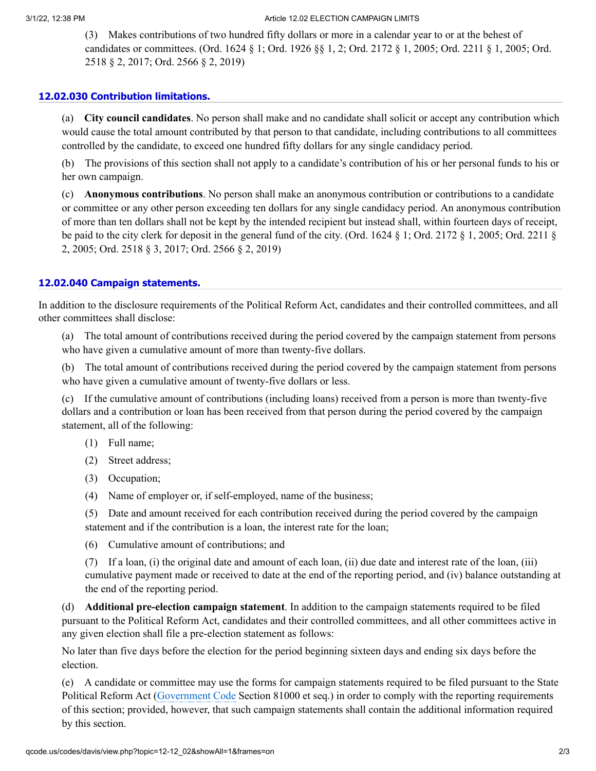#### 3/1/22, 12:38 PM **Article 12.02 ELECTION CAMPAIGN LIMITS**

(3) Makes contributions of two hundred fifty dollars or more in a calendar year to or at the behest of candidates or committees. (Ord. 1624 § 1; Ord. 1926 §§ 1, 2; Ord. 2172 § 1, 2005; Ord. 2211 § 1, 2005; Ord. 2518 § 2, 2017; Ord. 2566 § 2, 2019)

## **[12.02.030 Contribution limitations.](http://qcode.us/codes/davis/view.php?topic=12-12_02-12_02_030&frames=on)**

(a) **City council candidates**. No person shall make and no candidate shall solicit or accept any contribution which would cause the total amount contributed by that person to that candidate, including contributions to all committees controlled by the candidate, to exceed one hundred fifty dollars for any single candidacy period.

(b) The provisions of this section shall not apply to a candidate's contribution of his or her personal funds to his or her own campaign.

(c) **Anonymous contributions**. No person shall make an anonymous contribution or contributions to a candidate or committee or any other person exceeding ten dollars for any single candidacy period. An anonymous contribution of more than ten dollars shall not be kept by the intended recipient but instead shall, within fourteen days of receipt, be paid to the city clerk for deposit in the general fund of the city. (Ord. 1624 § 1; Ord. 2172 § 1, 2005; Ord. 2211 § 2, 2005; Ord. 2518 § 3, 2017; Ord. 2566 § 2, 2019)

# **[12.02.040 Campaign statements.](http://qcode.us/codes/davis/view.php?topic=12-12_02-12_02_040&frames=on)**

In addition to the disclosure requirements of the Political Reform Act, candidates and their controlled committees, and all other committees shall disclose:

(a) The total amount of contributions received during the period covered by the campaign statement from persons who have given a cumulative amount of more than twenty-five dollars.

(b) The total amount of contributions received during the period covered by the campaign statement from persons who have given a cumulative amount of twenty-five dollars or less.

(c) If the cumulative amount of contributions (including loans) received from a person is more than twenty-five dollars and a contribution or loan has been received from that person during the period covered by the campaign statement, all of the following:

- (1) Full name;
- (2) Street address;
- (3) Occupation;
- (4) Name of employer or, if self-employed, name of the business;

(5) Date and amount received for each contribution received during the period covered by the campaign statement and if the contribution is a loan, the interest rate for the loan;

(6) Cumulative amount of contributions; and

(7) If a loan, (i) the original date and amount of each loan, (ii) due date and interest rate of the loan, (iii) cumulative payment made or received to date at the end of the reporting period, and (iv) balance outstanding at the end of the reporting period.

(d) **Additional pre-election campaign statement**. In addition to the campaign statements required to be filed pursuant to the Political Reform Act, candidates and their controlled committees, and all other committees active in any given election shall file a pre-election statement as follows:

No later than five days before the election for the period beginning sixteen days and ending six days before the election.

(e) A candidate or committee may use the forms for campaign statements required to be filed pursuant to the State Political Reform Act ([Government](http://qcode.us/codes/othercode.php?state=ca&code=gov) Code Section 81000 et seq.) in order to comply with the reporting requirements of this section; provided, however, that such campaign statements shall contain the additional information required by this section.